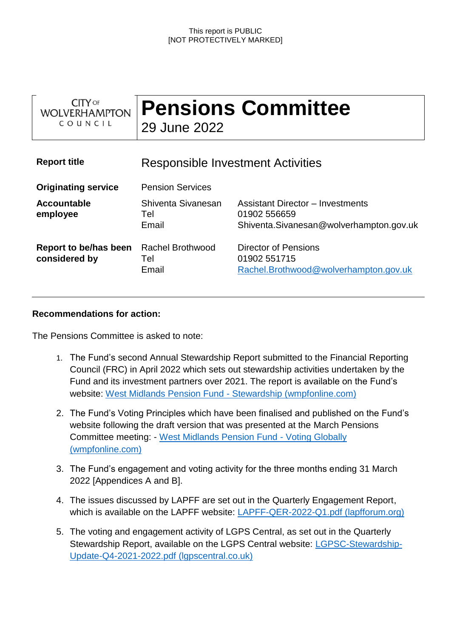| <b>CITY OF</b><br><b>WOLVERHAMPTON</b><br>COUNCIL | <b>Pensions Committee</b><br>29 June 2022 |                                                                                             |
|---------------------------------------------------|-------------------------------------------|---------------------------------------------------------------------------------------------|
| <b>Report title</b>                               | Responsible Investment Activities         |                                                                                             |
| <b>Originating service</b>                        | <b>Pension Services</b>                   |                                                                                             |
| <b>Accountable</b><br>employee                    | Shiventa Sivanesan<br>Tel<br>Email        | Assistant Director - Investments<br>01902 556659<br>Shiventa.Sivanesan@wolverhampton.gov.uk |
| Report to be/has been<br>considered by            | <b>Rachel Brothwood</b><br>Tel<br>Email   | Director of Pensions<br>01902 551715<br>Rachel.Brothwood@wolverhampton.gov.uk               |

## **Recommendations for action:**

The Pensions Committee is asked to note:

- 1. The Fund's second Annual Stewardship Report submitted to the Financial Reporting Council (FRC) in April 2022 which sets out stewardship activities undertaken by the Fund and its investment partners over 2021. The report is available on the Fund's website: [West Midlands Pension Fund -](https://eur03.safelinks.protection.outlook.com/?url=https%3A%2F%2Fwww.wmpfonline.com%2Farticle%2F14030%2FStewardship&data=05%7C01%7CHayley.Reid%40wolverhampton.gov.uk%7C1cbf7c3d44dd42bcd85d08da52d7f817%7C07ebc6c370744387a625b9d918ba4a97%7C0%7C0%7C637913385236652194%7CUnknown%7CTWFpbGZsb3d8eyJWIjoiMC4wLjAwMDAiLCJQIjoiV2luMzIiLCJBTiI6Ik1haWwiLCJXVCI6Mn0%3D%7C3000%7C%7C%7C&sdata=RQZs2TDj0CB%2BKTVq%2FZvKAdDDyrVRZ93WCBxgUCjFKMU%3D&reserved=0) Stewardship (wmpfonline.com)
- 2. The Fund's Voting Principles which have been finalised and published on the Fund's website following the draft version that was presented at the March Pensions Committee meeting: - [West Midlands Pension Fund -](https://eur03.safelinks.protection.outlook.com/?url=https%3A%2F%2Fwww.wmpfonline.com%2Farticle%2F5693%2FVoting-Globally&data=05%7C01%7CHayley.Reid%40wolverhampton.gov.uk%7C1cbf7c3d44dd42bcd85d08da52d7f817%7C07ebc6c370744387a625b9d918ba4a97%7C0%7C0%7C637913385236652194%7CUnknown%7CTWFpbGZsb3d8eyJWIjoiMC4wLjAwMDAiLCJQIjoiV2luMzIiLCJBTiI6Ik1haWwiLCJXVCI6Mn0%3D%7C3000%7C%7C%7C&sdata=VTd%2BgtmVfIVgchk3N0ByeXL2dHOwriefpXG%2Fd1y0nnQ%3D&reserved=0) Voting Globally [\(wmpfonline.com\)](https://eur03.safelinks.protection.outlook.com/?url=https%3A%2F%2Fwww.wmpfonline.com%2Farticle%2F5693%2FVoting-Globally&data=05%7C01%7CHayley.Reid%40wolverhampton.gov.uk%7C1cbf7c3d44dd42bcd85d08da52d7f817%7C07ebc6c370744387a625b9d918ba4a97%7C0%7C0%7C637913385236652194%7CUnknown%7CTWFpbGZsb3d8eyJWIjoiMC4wLjAwMDAiLCJQIjoiV2luMzIiLCJBTiI6Ik1haWwiLCJXVCI6Mn0%3D%7C3000%7C%7C%7C&sdata=VTd%2BgtmVfIVgchk3N0ByeXL2dHOwriefpXG%2Fd1y0nnQ%3D&reserved=0)
- 3. The Fund's engagement and voting activity for the three months ending 31 March 2022 [Appendices A and B].
- 4. The issues discussed by LAPFF are set out in the Quarterly Engagement Report, which is available on the LAPFF website: [LAPFF-QER-2022-Q1.pdf \(lapfforum.org\)](https://lapfforum.org/wp-content/uploads/2022/04/LAPFF-QER-2022-Q1.pdf)
- 5. The voting and engagement activity of LGPS Central, as set out in the Quarterly Stewardship Report, available on the LGPS Central website: [LGPSC-Stewardship-](https://www.lgpscentral.co.uk/wp-content/uploads/2022/05/LGPSC-Stewardship-Update-Q4-2021-2022.pdf)[Update-Q4-2021-2022.pdf \(lgpscentral.co.uk\)](https://www.lgpscentral.co.uk/wp-content/uploads/2022/05/LGPSC-Stewardship-Update-Q4-2021-2022.pdf)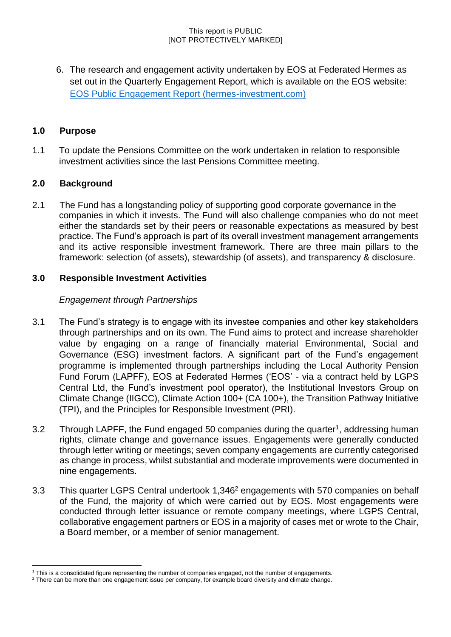6. The research and engagement activity undertaken by EOS at Federated Hermes as set out in the Quarterly Engagement Report, which is available on the EOS website: [EOS Public Engagement Report \(hermes-investment.com\)](https://www.hermes-investment.com/uki/wp-content/uploads/2022/04/eos_per_q1_2022_spreads-v7-final.pdf)

# **1.0 Purpose**

1.1 To update the Pensions Committee on the work undertaken in relation to responsible investment activities since the last Pensions Committee meeting.

# **2.0 Background**

l

2.1 The Fund has a longstanding policy of supporting good corporate governance in the companies in which it invests. The Fund will also challenge companies who do not meet either the standards set by their peers or reasonable expectations as measured by best practice. The Fund's approach is part of its overall investment management arrangements and its active responsible investment framework. There are three main pillars to the framework: selection (of assets), stewardship (of assets), and transparency & disclosure.

# **3.0 Responsible Investment Activities**

## *Engagement through Partnerships*

- 3.1 The Fund's strategy is to engage with its investee companies and other key stakeholders through partnerships and on its own. The Fund aims to protect and increase shareholder value by engaging on a range of financially material Environmental, Social and Governance (ESG) investment factors. A significant part of the Fund's engagement programme is implemented through partnerships including the Local Authority Pension Fund Forum (LAPFF), EOS at Federated Hermes ('EOS' - via a contract held by LGPS Central Ltd, the Fund's investment pool operator), the Institutional Investors Group on Climate Change (IIGCC), Climate Action 100+ (CA 100+), the Transition Pathway Initiative (TPI), and the Principles for Responsible Investment (PRI).
- 3.2 Through LAPFF, the Fund engaged 50 companies during the quarter<sup>1</sup>, addressing human rights, climate change and governance issues. Engagements were generally conducted through letter writing or meetings; seven company engagements are currently categorised as change in process, whilst substantial and moderate improvements were documented in nine engagements.
- 3.3 This quarter LGPS Central undertook 1,346<sup>2</sup> engagements with 570 companies on behalf of the Fund, the majority of which were carried out by EOS. Most engagements were conducted through letter issuance or remote company meetings, where LGPS Central, collaborative engagement partners or EOS in a majority of cases met or wrote to the Chair, a Board member, or a member of senior management.

<sup>1</sup> This is a consolidated figure representing the number of companies engaged, not the number of engagements.

<sup>&</sup>lt;sup>2</sup> There can be more than one engagement issue per company, for example board diversity and climate change.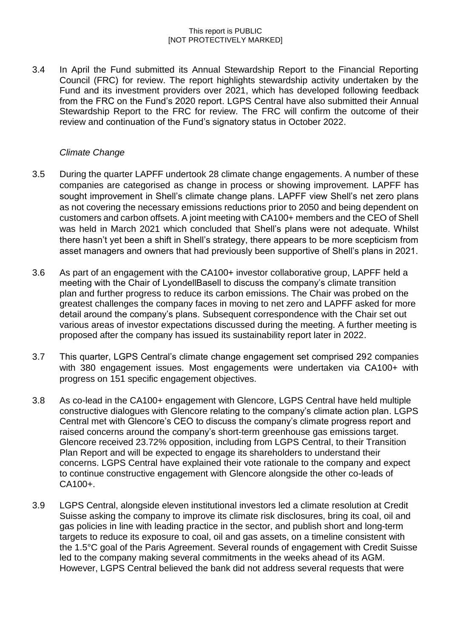3.4 In April the Fund submitted its Annual Stewardship Report to the Financial Reporting Council (FRC) for review. The report highlights stewardship activity undertaken by the Fund and its investment providers over 2021, which has developed following feedback from the FRC on the Fund's 2020 report. LGPS Central have also submitted their Annual Stewardship Report to the FRC for review. The FRC will confirm the outcome of their review and continuation of the Fund's signatory status in October 2022.

# *Climate Change*

- 3.5 During the quarter LAPFF undertook 28 climate change engagements. A number of these companies are categorised as change in process or showing improvement. LAPFF has sought improvement in Shell's climate change plans. LAPFF view Shell's net zero plans as not covering the necessary emissions reductions prior to 2050 and being dependent on customers and carbon offsets. A joint meeting with CA100+ members and the CEO of Shell was held in March 2021 which concluded that Shell's plans were not adequate. Whilst there hasn't yet been a shift in Shell's strategy, there appears to be more scepticism from asset managers and owners that had previously been supportive of Shell's plans in 2021.
- 3.6 As part of an engagement with the CA100+ investor collaborative group, LAPFF held a meeting with the Chair of LyondellBasell to discuss the company's climate transition plan and further progress to reduce its carbon emissions. The Chair was probed on the greatest challenges the company faces in moving to net zero and LAPFF asked for more detail around the company's plans. Subsequent correspondence with the Chair set out various areas of investor expectations discussed during the meeting. A further meeting is proposed after the company has issued its sustainability report later in 2022.
- 3.7 This quarter, LGPS Central's climate change engagement set comprised 292 companies with 380 engagement issues. Most engagements were undertaken via CA100+ with progress on 151 specific engagement objectives.
- 3.8 As co-lead in the CA100+ engagement with Glencore, LGPS Central have held multiple constructive dialogues with Glencore relating to the company's climate action plan. LGPS Central met with Glencore's CEO to discuss the company's climate progress report and raised concerns around the company's short-term greenhouse gas emissions target. Glencore received 23.72% opposition, including from LGPS Central, to their Transition Plan Report and will be expected to engage its shareholders to understand their concerns. LGPS Central have explained their vote rationale to the company and expect to continue constructive engagement with Glencore alongside the other co-leads of CA100+.
- 3.9 LGPS Central, alongside eleven institutional investors led a climate resolution at Credit Suisse asking the company to improve its climate risk disclosures, bring its coal, oil and gas policies in line with leading practice in the sector, and publish short and long-term targets to reduce its exposure to coal, oil and gas assets, on a timeline consistent with the 1.5°C goal of the Paris Agreement. Several rounds of engagement with Credit Suisse led to the company making several commitments in the weeks ahead of its AGM. However, LGPS Central believed the bank did not address several requests that were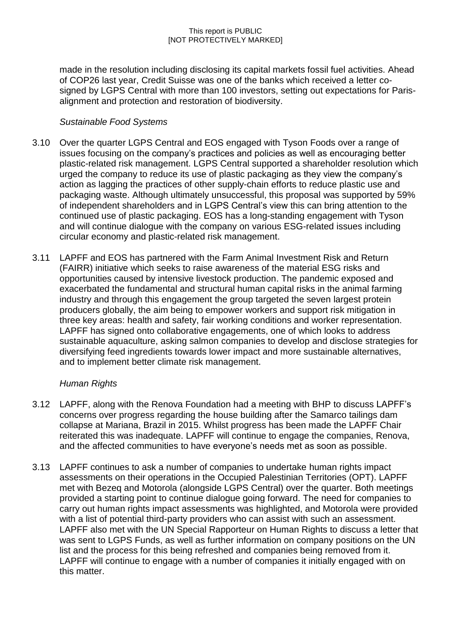made in the resolution including disclosing its capital markets fossil fuel activities. Ahead of COP26 last year, Credit Suisse was one of the banks which received a letter cosigned by LGPS Central with more than 100 investors, setting out expectations for Parisalignment and protection and restoration of biodiversity.

# *Sustainable Food Systems*

- 3.10 Over the quarter LGPS Central and EOS engaged with Tyson Foods over a range of issues focusing on the company's practices and policies as well as encouraging better plastic-related risk management. LGPS Central supported a shareholder resolution which urged the company to reduce its use of plastic packaging as they view the company's action as lagging the practices of other supply-chain efforts to reduce plastic use and packaging waste. Although ultimately unsuccessful, this proposal was supported by 59% of independent shareholders and in LGPS Central's view this can bring attention to the continued use of plastic packaging. EOS has a long-standing engagement with Tyson and will continue dialogue with the company on various ESG-related issues including circular economy and plastic-related risk management.
- 3.11 LAPFF and EOS has partnered with the Farm Animal Investment Risk and Return (FAIRR) initiative which seeks to raise awareness of the material ESG risks and opportunities caused by intensive livestock production. The pandemic exposed and exacerbated the fundamental and structural human capital risks in the animal farming industry and through this engagement the group targeted the seven largest protein producers globally, the aim being to empower workers and support risk mitigation in three key areas: health and safety, fair working conditions and worker representation. LAPFF has signed onto collaborative engagements, one of which looks to address sustainable aquaculture, asking salmon companies to develop and disclose strategies for diversifying feed ingredients towards lower impact and more sustainable alternatives, and to implement better climate risk management.

# *Human Rights*

- 3.12 LAPFF, along with the Renova Foundation had a meeting with BHP to discuss LAPFF's concerns over progress regarding the house building after the Samarco tailings dam collapse at Mariana, Brazil in 2015. Whilst progress has been made the LAPFF Chair reiterated this was inadequate. LAPFF will continue to engage the companies, Renova, and the affected communities to have everyone's needs met as soon as possible.
- 3.13 LAPFF continues to ask a number of companies to undertake human rights impact assessments on their operations in the Occupied Palestinian Territories (OPT). LAPFF met with Bezeq and Motorola (alongside LGPS Central) over the quarter. Both meetings provided a starting point to continue dialogue going forward. The need for companies to carry out human rights impact assessments was highlighted, and Motorola were provided with a list of potential third-party providers who can assist with such an assessment. LAPFF also met with the UN Special Rapporteur on Human Rights to discuss a letter that was sent to LGPS Funds, as well as further information on company positions on the UN list and the process for this being refreshed and companies being removed from it. LAPFF will continue to engage with a number of companies it initially engaged with on this matter.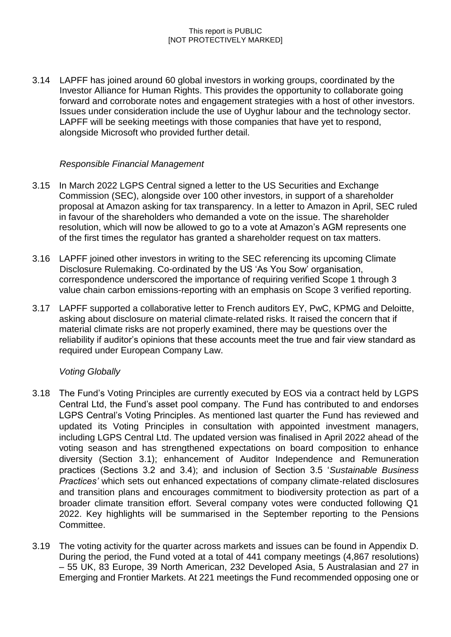3.14 LAPFF has joined around 60 global investors in working groups, coordinated by the Investor Alliance for Human Rights. This provides the opportunity to collaborate going forward and corroborate notes and engagement strategies with a host of other investors. Issues under consideration include the use of Uyghur labour and the technology sector. LAPFF will be seeking meetings with those companies that have yet to respond, alongside Microsoft who provided further detail.

# *Responsible Financial Management*

- 3.15 In March 2022 LGPS Central signed a letter to the US Securities and Exchange Commission (SEC), alongside over 100 other investors, in support of a shareholder proposal at Amazon asking for tax transparency. In a letter to Amazon in April, SEC ruled in favour of the shareholders who demanded a vote on the issue. The shareholder resolution, which will now be allowed to go to a vote at Amazon's AGM represents one of the first times the regulator has granted a shareholder request on tax matters.
- 3.16 LAPFF joined other investors in writing to the SEC referencing its upcoming Climate Disclosure Rulemaking. Co-ordinated by the US 'As You Sow' organisation, correspondence underscored the importance of requiring verified Scope 1 through 3 value chain carbon emissions-reporting with an emphasis on Scope 3 verified reporting.
- 3.17 LAPFF supported a collaborative letter to French auditors EY, PwC, KPMG and Deloitte, asking about disclosure on material climate-related risks. It raised the concern that if material climate risks are not properly examined, there may be questions over the reliability if auditor's opinions that these accounts meet the true and fair view standard as required under European Company Law.

# *Voting Globally*

- 3.18 The Fund's Voting Principles are currently executed by EOS via a contract held by LGPS Central Ltd, the Fund's asset pool company. The Fund has contributed to and endorses LGPS Central's Voting Principles. As mentioned last quarter the Fund has reviewed and updated its Voting Principles in consultation with appointed investment managers, including LGPS Central Ltd. The updated version was finalised in April 2022 ahead of the voting season and has strengthened expectations on board composition to enhance diversity (Section 3.1); enhancement of Auditor Independence and Remuneration practices (Sections 3.2 and 3.4); and inclusion of Section 3.5 '*Sustainable Business Practices'* which sets out enhanced expectations of company climate-related disclosures and transition plans and encourages commitment to biodiversity protection as part of a broader climate transition effort. Several company votes were conducted following Q1 2022. Key highlights will be summarised in the September reporting to the Pensions Committee.
- 3.19 The voting activity for the quarter across markets and issues can be found in Appendix D. During the period, the Fund voted at a total of 441 company meetings (4,867 resolutions) – 55 UK, 83 Europe, 39 North American, 232 Developed Asia, 5 Australasian and 27 in Emerging and Frontier Markets. At 221 meetings the Fund recommended opposing one or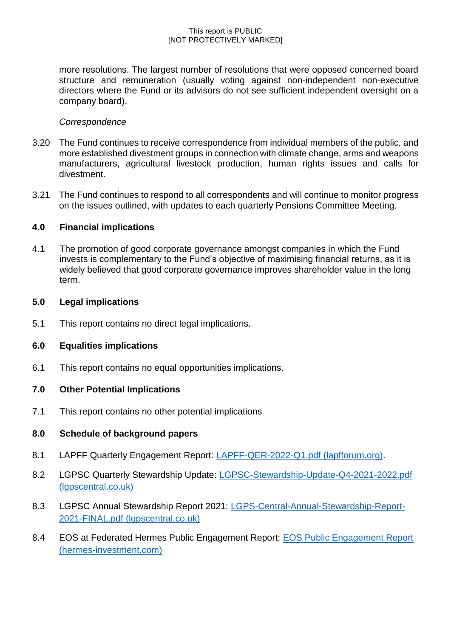more resolutions. The largest number of resolutions that were opposed concerned board structure and remuneration (usually voting against non-independent non-executive directors where the Fund or its advisors do not see sufficient independent oversight on a company board).

## *Correspondence*

- 3.20 The Fund continues to receive correspondence from individual members of the public, and more established divestment groups in connection with climate change, arms and weapons manufacturers, agricultural livestock production, human rights issues and calls for divestment.
- 3.21 The Fund continues to respond to all correspondents and will continue to monitor progress on the issues outlined, with updates to each quarterly Pensions Committee Meeting.

## **4.0 Financial implications**

4.1 The promotion of good corporate governance amongst companies in which the Fund invests is complementary to the Fund's objective of maximising financial returns, as it is widely believed that good corporate governance improves shareholder value in the long term.

### **5.0 Legal implications**

5.1 This report contains no direct legal implications.

## **6.0 Equalities implications**

6.1 This report contains no equal opportunities implications.

## **7.0 Other Potential Implications**

7.1 This report contains no other potential implications

## **8.0 Schedule of background papers**

- 8.1 LAPFF Quarterly Engagement Report: [LAPFF-QER-2022-Q1.pdf \(lapfforum.org\).](https://lapfforum.org/wp-content/uploads/2022/04/LAPFF-QER-2022-Q1.pdf)
- 8.2 LGPSC Quarterly Stewardship Update: [LGPSC-Stewardship-Update-Q4-2021-2022.pdf](https://www.lgpscentral.co.uk/wp-content/uploads/2022/05/LGPSC-Stewardship-Update-Q4-2021-2022.pdf)  [\(lgpscentral.co.uk\)](https://www.lgpscentral.co.uk/wp-content/uploads/2022/05/LGPSC-Stewardship-Update-Q4-2021-2022.pdf)
- 8.3 LGPSC Annual Stewardship Report 2021: [LGPS-Central-Annual-Stewardship-Report-](https://www.lgpscentral.co.uk/wp-content/uploads/2022/05/LGPS-Central-Annual-Stewardship-Report-2021-FINAL.pdf)[2021-FINAL.pdf \(lgpscentral.co.uk\)](https://www.lgpscentral.co.uk/wp-content/uploads/2022/05/LGPS-Central-Annual-Stewardship-Report-2021-FINAL.pdf)
- 8.4 EOS at Federated Hermes Public Engagement Report: [EOS Public Engagement Report](https://www.hermes-investment.com/uki/wp-content/uploads/2022/04/eos_per_q1_2022_spreads-v7-final.pdf)  [\(hermes-investment.com\)](https://www.hermes-investment.com/uki/wp-content/uploads/2022/04/eos_per_q1_2022_spreads-v7-final.pdf)